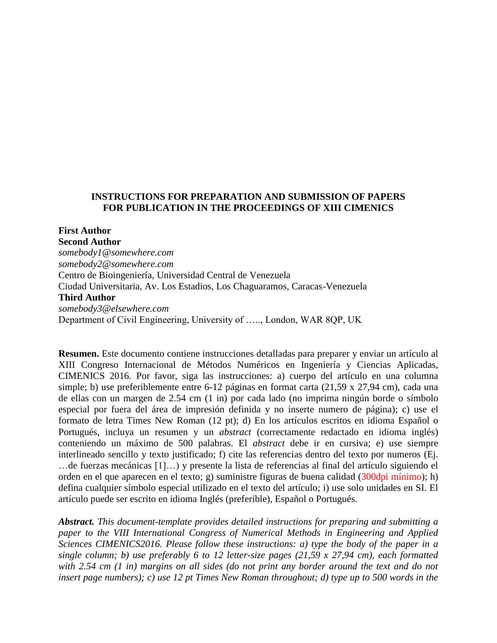# **INSTRUCTIONS FOR PREPARATION AND SUBMISSION OF PAPERS FOR PUBLICATION IN THE PROCEEDINGS OF XIII CIMENICS**

**First Author Second Author** *somebody1@somewhere.com somebody2@somewhere.com* Centro de Bioingeniería, Universidad Central de Venezuela Ciudad Universitaria, Av. Los Estadios, Los Chaguaramos, Caracas-Venezuela **Third Author** *somebody3@elsewhere.com* Department of Civil Engineering, University of ….., London, WAR 8QP, UK

**Resumen.** Este documento contiene instrucciones detalladas para preparer y enviar un artículo al XIII Congreso Internacional de Métodos Numéricos en Ingeniería y Ciencias Aplicadas, CIMENICS 2016*.* Por favor, siga las instrucciones: a) cuerpo del artículo en una columna simple; b) use preferiblemente entre 6-12 páginas en format carta (21,59 x 27,94 cm), cada una de ellas con un margen de 2.54 cm (1 in) por cada lado (no imprima ningún borde o símbolo especial por fuera del área de impresión definida y no inserte numero de página); c) use el formato de letra Times New Roman (12 pt); d) En los artículos escritos en idioma Español o Portugués, incluya un resumen y un *abstract* (correctamente redactado en idioma inglés) conteniendo un máximo de 500 palabras. El *abstract* debe ir en cursiva; e) use siempre interlineado sencillo y texto justificado; f) cite las referencias dentro del texto por numeros (Ej. …de fuerzas mecánicas [1]…) y presente la lista de referencias al final del artículo siguiendo el orden en el que aparecen en el texto; g) suministre figuras de buena calidad (300dpi mínimo); h) defina cualquier símbolo especial utilizado en el texto del artículo; i) use solo unidades en SI. El artículo puede ser escrito en idioma Inglés (preferible), Español o Portugués.

*Abstract. This document-template provides detailed instructions for preparing and submitting a paper to the VIII International Congress of Numerical Methods in Engineering and Applied Sciences CIMENICS2016. Please follow these instructions: a) type the body of the paper in a single column; b) use preferably 6 to 12 letter-size pages (21,59 x 27,94 cm), each formatted with 2.54 cm (1 in) margins on all sides (do not print any border around the text and do not insert page numbers); c) use 12 pt Times New Roman throughout; d) type up to 500 words in the*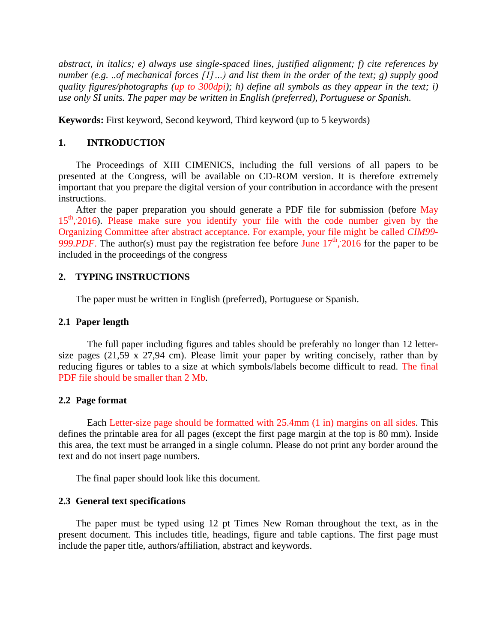*abstract, in italics; e) always use single-spaced lines, justified alignment; f) cite references by number (e.g. ..of mechanical forces [1]…) and list them in the order of the text; g) supply good quality figures/photographs (up to 300dpi); h) define all symbols as they appear in the text; i) use only SI units. The paper may be written in English (preferred), Portuguese or Spanish.*

**Keywords:** First keyword, Second keyword, Third keyword (up to 5 keywords)

# **1. INTRODUCTION**

The Proceedings of XIII CIMENICS, including the full versions of all papers to be presented at the Congress, will be available on CD-ROM version. It is therefore extremely important that you prepare the digital version of your contribution in accordance with the present instructions.

After the paper preparation you should generate a PDF file for submission (before May 15<sup>th</sup>, 2016). Please make sure you identify your file with the code number given by the Organizing Committee after abstract acceptance. For example, your file might be called *CIM99-*  $999.PDF$ . The author(s) must pay the registration fee before June  $17<sup>th</sup>$ , 2016 for the paper to be included in the proceedings of the congress

# **2. TYPING INSTRUCTIONS**

The paper must be written in English (preferred), Portuguese or Spanish.

## **2.1 Paper length**

The full paper including figures and tables should be preferably no longer than 12 lettersize pages (21,59 x 27,94 cm). Please limit your paper by writing concisely, rather than by reducing figures or tables to a size at which symbols/labels become difficult to read. The final PDF file should be smaller than 2 Mb.

## **2.2 Page format**

Each Letter-size page should be formatted with 25.4mm (1 in) margins on all sides. This defines the printable area for all pages (except the first page margin at the top is 80 mm). Inside this area, the text must be arranged in a single column. Please do not print any border around the text and do not insert page numbers.

The final paper should look like this document.

## **2.3 General text specifications**

The paper must be typed using 12 pt Times New Roman throughout the text, as in the present document. This includes title, headings, figure and table captions. The first page must include the paper title, authors/affiliation, abstract and keywords.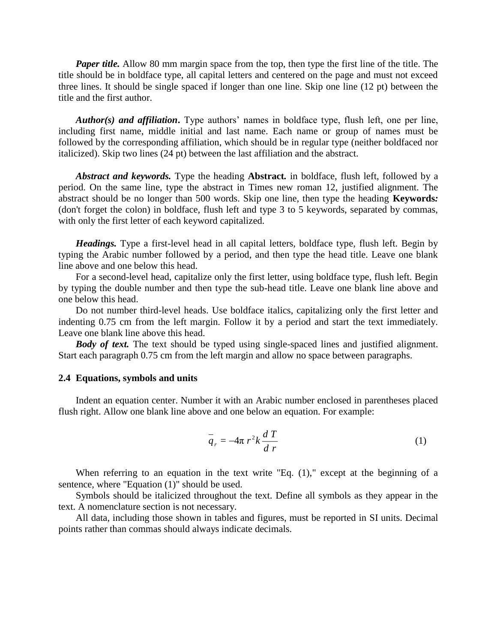*Paper title.* Allow 80 mm margin space from the top, then type the first line of the title. The title should be in boldface type, all capital letters and centered on the page and must not exceed three lines. It should be single spaced if longer than one line. Skip one line (12 pt) between the title and the first author.

*Author(s) and affiliation***.** Type authors' names in boldface type, flush left, one per line, including first name, middle initial and last name. Each name or group of names must be followed by the corresponding affiliation, which should be in regular type (neither boldfaced nor italicized). Skip two lines (24 pt) between the last affiliation and the abstract.

*Abstract and keywords.* Type the heading **Abstract***.* in boldface, flush left, followed by a period. On the same line, type the abstract in Times new roman 12, justified alignment. The abstract should be no longer than 500 words. Skip one line, then type the heading **Keywords***:* (don't forget the colon) in boldface, flush left and type 3 to 5 keywords, separated by commas, with only the first letter of each keyword capitalized.

*Headings.* Type a first-level head in all capital letters, boldface type, flush left. Begin by typing the Arabic number followed by a period, and then type the head title. Leave one blank line above and one below this head.

For a second-level head, capitalize only the first letter, using boldface type, flush left. Begin by typing the double number and then type the sub-head title. Leave one blank line above and one below this head.

Do not number third-level heads. Use boldface italics, capitalizing only the first letter and indenting 0.75 cm from the left margin. Follow it by a period and start the text immediately. Leave one blank line above this head.

*Body of text.* The text should be typed using single-spaced lines and justified alignment. Start each paragraph 0.75 cm from the left margin and allow no space between paragraphs.

#### **2.4 Equations, symbols and units**

Indent an equation center. Number it with an Arabic number enclosed in parentheses placed flush right. Allow one blank line above and one below an equation. For example:

$$
\overline{q}_r = -4\pi r^2 k \frac{dT}{dr} \tag{1}
$$

When referring to an equation in the text write "Eq. (1)," except at the beginning of a sentence, where "Equation (1)" should be used.

Symbols should be italicized throughout the text. Define all symbols as they appear in the text. A nomenclature section is not necessary.

All data, including those shown in tables and figures, must be reported in SI units. Decimal points rather than commas should always indicate decimals.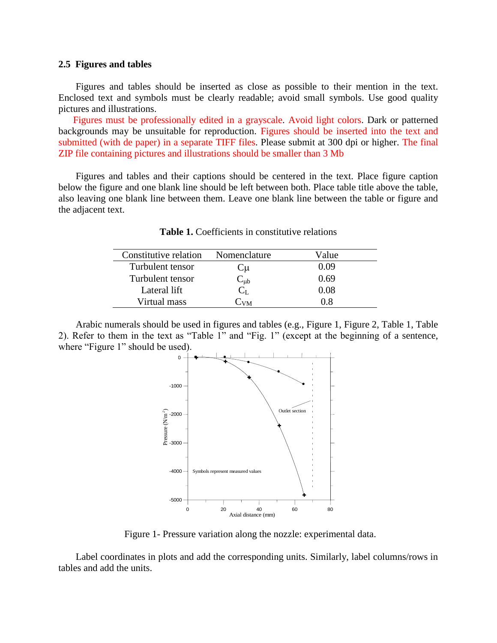#### **2.5 Figures and tables**

Figures and tables should be inserted as close as possible to their mention in the text. Enclosed text and symbols must be clearly readable; avoid small symbols. Use good quality pictures and illustrations.

Figures must be professionally edited in a grayscale. Avoid light colors. Dark or patterned backgrounds may be unsuitable for reproduction. Figures should be inserted into the text and submitted (with de paper) in a separate TIFF files. Please submit at 300 dpi or higher. The final ZIP file containing pictures and illustrations should be smaller than 3 Mb

Figures and tables and their captions should be centered in the text. Place figure caption below the figure and one blank line should be left between both. Place table title above the table, also leaving one blank line between them. Leave one blank line between the table or figure and the adjacent text.

| Constitutive relation | Nomenclature | Value |
|-----------------------|--------------|-------|
| Turbulent tensor      | ىلا          | 0.09  |
| Turbulent tensor      | $-\mu b$     | 0.69  |
| Lateral lift          |              | 0.08  |
| Virtual mass          | $\sqrt{M}$   | 0 X   |

**Table 1.** Coefficients in constitutive relations

Arabic numerals should be used in figures and tables (e.g., Figure 1, Figure 2, Table 1, Table 2). Refer to them in the text as "Table 1" and "Fig. 1" (except at the beginning of a sentence, where "Figure 1" should be used).



Figure 1- Pressure variation along the nozzle: experimental data.

Label coordinates in plots and add the corresponding units. Similarly, label columns/rows in tables and add the units.